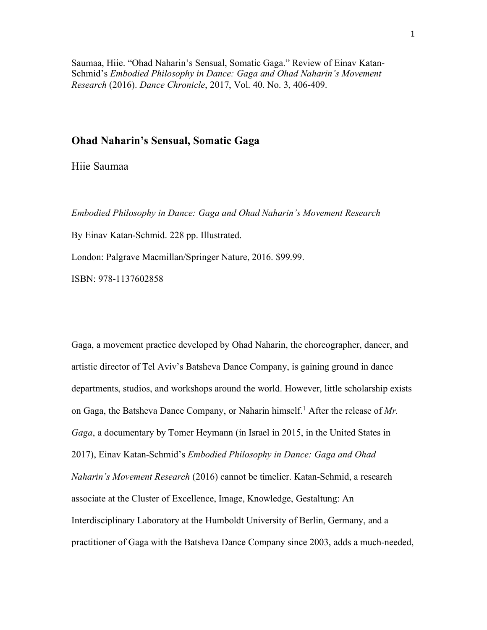Saumaa, Hiie. "Ohad Naharin's Sensual, Somatic Gaga." Review of Einav Katan-Schmid's *Embodied Philosophy in Dance: Gaga and Ohad Naharin's Movement Research* (2016). *Dance Chronicle*, 2017, Vol. 40. No. 3, 406-409.

## **Ohad Naharin's Sensual, Somatic Gaga**

Hiie Saumaa

*Embodied Philosophy in Dance: Gaga and Ohad Naharin's Movement Research*

By Einav Katan-Schmid. 228 pp. Illustrated.

London: Palgrave Macmillan/Springer Nature, 2016. \$99.99.

ISBN: 978-1137602858

Gaga, a movement practice developed by Ohad Naharin, the choreographer, dancer, and artistic director of Tel Aviv's Batsheva Dance Company, is gaining ground in dance departments, studios, and workshops around the world. However, little scholarship exists on Gaga, the Batsheva Dance Company, or Naharin himself.<sup>1</sup> After the release of Mr. *Gaga*, a documentary by Tomer Heymann (in Israel in 2015, in the United States in 2017), Einav Katan-Schmid's *Embodied Philosophy in Dance: Gaga and Ohad Naharin's Movement Research* (2016) cannot be timelier. Katan-Schmid, a research associate at the Cluster of Excellence, Image, Knowledge, Gestaltung: An Interdisciplinary Laboratory at the Humboldt University of Berlin, Germany, and a practitioner of Gaga with the Batsheva Dance Company since 2003, adds a much-needed,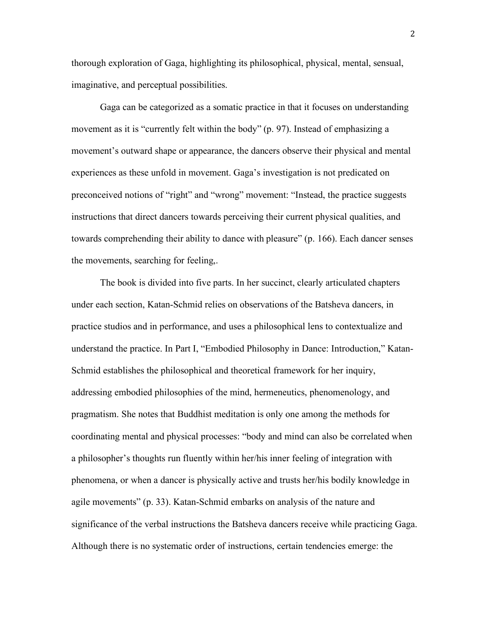thorough exploration of Gaga, highlighting its philosophical, physical, mental, sensual, imaginative, and perceptual possibilities.

Gaga can be categorized as a somatic practice in that it focuses on understanding movement as it is "currently felt within the body" (p. 97). Instead of emphasizing a movement's outward shape or appearance, the dancers observe their physical and mental experiences as these unfold in movement. Gaga's investigation is not predicated on preconceived notions of "right" and "wrong" movement: "Instead, the practice suggests instructions that direct dancers towards perceiving their current physical qualities, and towards comprehending their ability to dance with pleasure" (p. 166). Each dancer senses the movements, searching for feeling,.

The book is divided into five parts. In her succinct, clearly articulated chapters under each section, Katan-Schmid relies on observations of the Batsheva dancers, in practice studios and in performance, and uses a philosophical lens to contextualize and understand the practice. In Part I, "Embodied Philosophy in Dance: Introduction," Katan-Schmid establishes the philosophical and theoretical framework for her inquiry, addressing embodied philosophies of the mind, hermeneutics, phenomenology, and pragmatism. She notes that Buddhist meditation is only one among the methods for coordinating mental and physical processes: "body and mind can also be correlated when a philosopher's thoughts run fluently within her/his inner feeling of integration with phenomena, or when a dancer is physically active and trusts her/his bodily knowledge in agile movements" (p. 33). Katan-Schmid embarks on analysis of the nature and significance of the verbal instructions the Batsheva dancers receive while practicing Gaga. Although there is no systematic order of instructions, certain tendencies emerge: the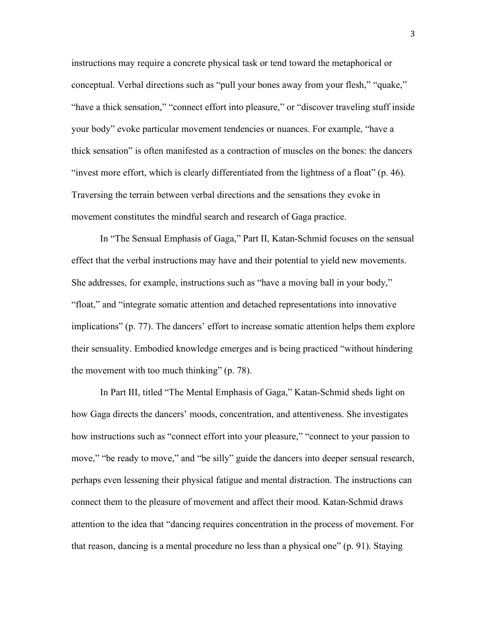instructions may require a concrete physical task or tend toward the metaphorical or conceptual. Verbal directions such as "pull your bones away from your flesh," "quake," "have a thick sensation," "connect effort into pleasure," or "discover traveling stuff inside your body" evoke particular movement tendencies or nuances. For example, "have a thick sensation" is often manifested as a contraction of muscles on the bones: the dancers "invest more effort, which is clearly differentiated from the lightness of a float" (p. 46). Traversing the terrain between verbal directions and the sensations they evoke in movement constitutes the mindful search and research of Gaga practice.

In "The Sensual Emphasis of Gaga," Part II, Katan-Schmid focuses on the sensual effect that the verbal instructions may have and their potential to yield new movements. She addresses, for example, instructions such as "have a moving ball in your body," "float," and "integrate somatic attention and detached representations into innovative implications" (p. 77). The dancers' effort to increase somatic attention helps them explore their sensuality. Embodied knowledge emerges and is being practiced "without hindering the movement with too much thinking" (p. 78).

In Part III, titled "The Mental Emphasis of Gaga," Katan-Schmid sheds light on how Gaga directs the dancers' moods, concentration, and attentiveness. She investigates how instructions such as "connect effort into your pleasure," "connect to your passion to move," "be ready to move," and "be silly" guide the dancers into deeper sensual research, perhaps even lessening their physical fatigue and mental distraction. The instructions can connect them to the pleasure of movement and affect their mood. Katan-Schmid draws attention to the idea that "dancing requires concentration in the process of movement. For that reason, dancing is a mental procedure no less than a physical one" (p. 91). Staying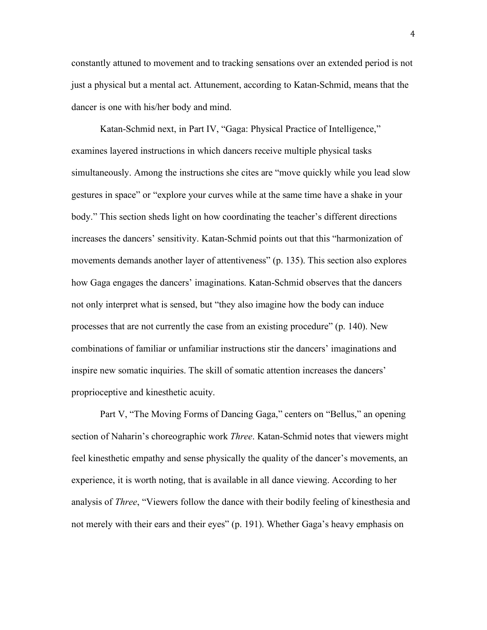constantly attuned to movement and to tracking sensations over an extended period is not just a physical but a mental act. Attunement, according to Katan-Schmid, means that the dancer is one with his/her body and mind.

Katan-Schmid next, in Part IV, "Gaga: Physical Practice of Intelligence," examines layered instructions in which dancers receive multiple physical tasks simultaneously. Among the instructions she cites are "move quickly while you lead slow gestures in space" or "explore your curves while at the same time have a shake in your body." This section sheds light on how coordinating the teacher's different directions increases the dancers' sensitivity. Katan-Schmid points out that this "harmonization of movements demands another layer of attentiveness" (p. 135). This section also explores how Gaga engages the dancers' imaginations. Katan-Schmid observes that the dancers not only interpret what is sensed, but "they also imagine how the body can induce processes that are not currently the case from an existing procedure" (p. 140). New combinations of familiar or unfamiliar instructions stir the dancers' imaginations and inspire new somatic inquiries. The skill of somatic attention increases the dancers' proprioceptive and kinesthetic acuity.

Part V, "The Moving Forms of Dancing Gaga," centers on "Bellus," an opening section of Naharin's choreographic work *Three*. Katan-Schmid notes that viewers might feel kinesthetic empathy and sense physically the quality of the dancer's movements, an experience, it is worth noting, that is available in all dance viewing. According to her analysis of *Three*, "Viewers follow the dance with their bodily feeling of kinesthesia and not merely with their ears and their eyes" (p. 191). Whether Gaga's heavy emphasis on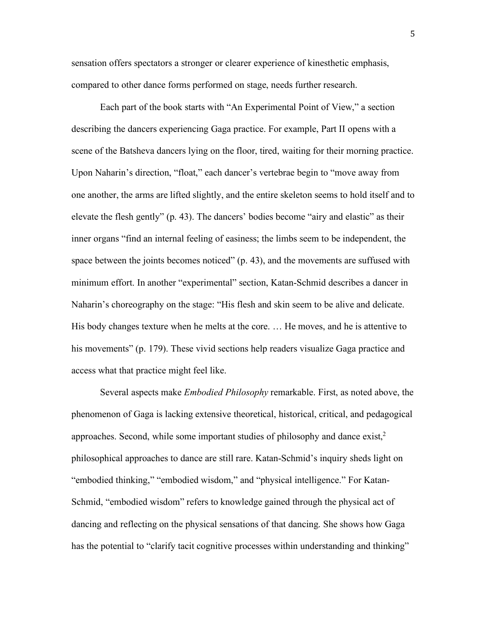sensation offers spectators a stronger or clearer experience of kinesthetic emphasis, compared to other dance forms performed on stage, needs further research.

Each part of the book starts with "An Experimental Point of View," a section describing the dancers experiencing Gaga practice. For example, Part II opens with a scene of the Batsheva dancers lying on the floor, tired, waiting for their morning practice. Upon Naharin's direction, "float," each dancer's vertebrae begin to "move away from one another, the arms are lifted slightly, and the entire skeleton seems to hold itself and to elevate the flesh gently" (p. 43). The dancers' bodies become "airy and elastic" as their inner organs "find an internal feeling of easiness; the limbs seem to be independent, the space between the joints becomes noticed" (p. 43), and the movements are suffused with minimum effort. In another "experimental" section, Katan-Schmid describes a dancer in Naharin's choreography on the stage: "His flesh and skin seem to be alive and delicate. His body changes texture when he melts at the core. … He moves, and he is attentive to his movements" (p. 179). These vivid sections help readers visualize Gaga practice and access what that practice might feel like.

Several aspects make *Embodied Philosophy* remarkable. First, as noted above, the phenomenon of Gaga is lacking extensive theoretical, historical, critical, and pedagogical approaches. Second, while some important studies of philosophy and dance exist, $2$ philosophical approaches to dance are still rare. Katan-Schmid's inquiry sheds light on "embodied thinking," "embodied wisdom," and "physical intelligence." For Katan-Schmid, "embodied wisdom" refers to knowledge gained through the physical act of dancing and reflecting on the physical sensations of that dancing. She shows how Gaga has the potential to "clarify tacit cognitive processes within understanding and thinking"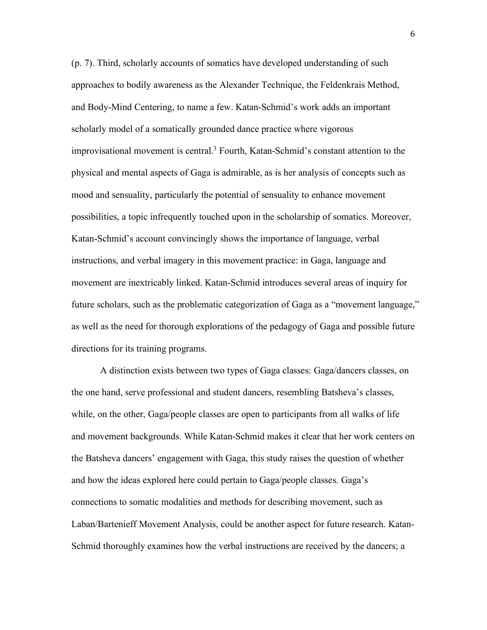(p. 7). Third, scholarly accounts of somatics have developed understanding of such approaches to bodily awareness as the Alexander Technique, the Feldenkrais Method, and Body-Mind Centering, to name a few. Katan-Schmid's work adds an important scholarly model of a somatically grounded dance practice where vigorous improvisational movement is central.<sup>3</sup> Fourth, Katan-Schmid's constant attention to the physical and mental aspects of Gaga is admirable, as is her analysis of concepts such as mood and sensuality, particularly the potential of sensuality to enhance movement possibilities, a topic infrequently touched upon in the scholarship of somatics. Moreover, Katan-Schmid's account convincingly shows the importance of language, verbal instructions, and verbal imagery in this movement practice: in Gaga, language and movement are inextricably linked. Katan-Schmid introduces several areas of inquiry for future scholars, such as the problematic categorization of Gaga as a "movement language," as well as the need for thorough explorations of the pedagogy of Gaga and possible future directions for its training programs.

A distinction exists between two types of Gaga classes: Gaga/dancers classes, on the one hand, serve professional and student dancers, resembling Batsheva's classes, while, on the other, Gaga/people classes are open to participants from all walks of life and movement backgrounds. While Katan-Schmid makes it clear that her work centers on the Batsheva dancers' engagement with Gaga, this study raises the question of whether and how the ideas explored here could pertain to Gaga/people classes. Gaga's connections to somatic modalities and methods for describing movement, such as Laban/Bartenieff Movement Analysis, could be another aspect for future research. Katan-Schmid thoroughly examines how the verbal instructions are received by the dancers; a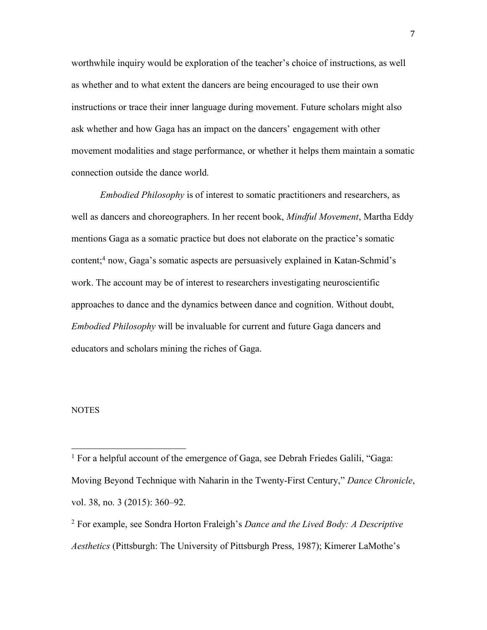worthwhile inquiry would be exploration of the teacher's choice of instructions, as well as whether and to what extent the dancers are being encouraged to use their own instructions or trace their inner language during movement. Future scholars might also ask whether and how Gaga has an impact on the dancers' engagement with other movement modalities and stage performance, or whether it helps them maintain a somatic connection outside the dance world.

*Embodied Philosophy* is of interest to somatic practitioners and researchers, as well as dancers and choreographers. In her recent book, *Mindful Movement*, Martha Eddy mentions Gaga as a somatic practice but does not elaborate on the practice's somatic content;4 now, Gaga's somatic aspects are persuasively explained in Katan-Schmid's work. The account may be of interest to researchers investigating neuroscientific approaches to dance and the dynamics between dance and cognition. Without doubt, *Embodied Philosophy* will be invaluable for current and future Gaga dancers and educators and scholars mining the riches of Gaga.

## **NOTES**

 

<sup>&</sup>lt;sup>1</sup> For a helpful account of the emergence of Gaga, see Debrah Friedes Galili, "Gaga: Moving Beyond Technique with Naharin in the Twenty-First Century," *Dance Chronicle*, vol. 38, no. 3 (2015): 360–92.

<sup>2</sup> For example, see Sondra Horton Fraleigh's *Dance and the Lived Body: A Descriptive Aesthetics* (Pittsburgh: The University of Pittsburgh Press, 1987); Kimerer LaMothe's